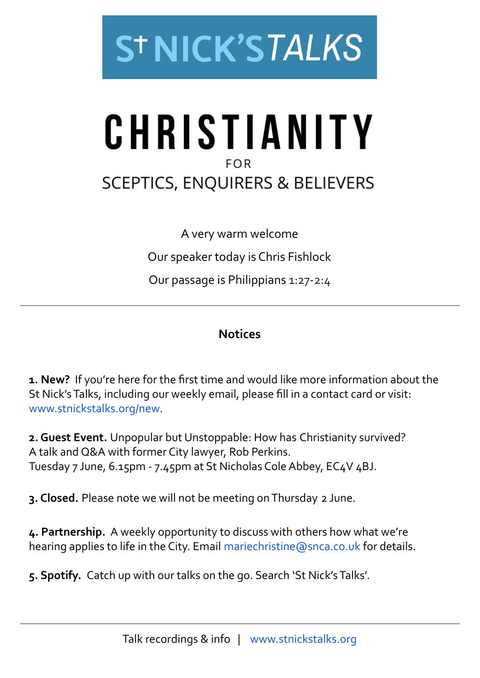

# CHRISTIANITY **FOR SCEPTICS, ENQUIRERS & BELIEVERS**

A very warm welcome Our speaker today is Chris Fishlock Our passage is Philippians 1:27-2:4

## **Notices**

**1. New?** If you're here for the first time and would like more information about the St Nick's Talks, including our weekly email, please fill in a contact card or visit: [www.stnickstalks.org/new](http://www.stnickstalks.org/new).

**2. Guest Event.** Unpopular but Unstoppable: How has Christianity survived? A talk and Q&A with former City lawyer, Rob Perkins. Tuesday 7 June, 6.15pm - 7.45pm at St Nicholas Cole Abbey, EC4V 4BJ.

**3. Closed.** Please note we will not be meeting on Thursday 2 June.

**4. Partnership.** A weekly opportunity to discuss with others how what we're hearing applies to life in the City. Email [mariechristine@snca.co.uk](mailto:mariechristine@snca.co.uk) for details.

**5. Spotify.** Catch up with our talks on the go. Search 'St Nick's Talks'.